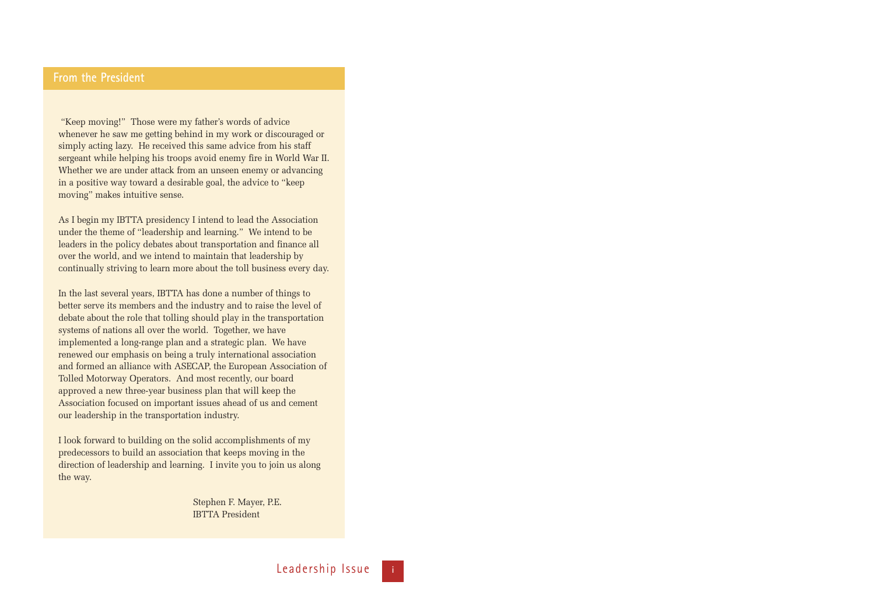# **From the President**

"Keep moving!" Those were my father's words of advice whenever he saw me getting behind in my work or discouraged or simply acting lazy. He received this same advice from his staff sergeant while helping his troops avoid enemy fire in World War II. Whether we are under attack from an unseen enemy or advancing in a positive way toward a desirable goal, the advice to "keep moving" makes intuitive sense.

As I begin my IBTTA presidency I intend to lead the Association under the theme of "leadership and learning." We intend to be leaders in the policy debates about transportation and finance all over the world, and we intend to maintain that leadership by continually striving to learn more about the toll business every day.

In the last several years, IBTTA has done a number of things to better serve its members and the industry and to raise the level of debate about the role that tolling should play in the transportation systems of nations all over the world. Together, we have implemented a long-range plan and a strategic plan. We have renewed our emphasis on being a truly international association and formed an alliance with ASECAP, the European Association of Tolled Motorway Operators. And most recently, our board approved a new three-year business plan that will keep the Association focused on important issues ahead of us and cement our leadership in the transportation industry.

I look forward to building on the solid accomplishments of my predecessors to build an association that keeps moving in the direction of leadership and learning. I invite you to join us along the way.

> Stephen F. Mayer, P.E. IBTTA President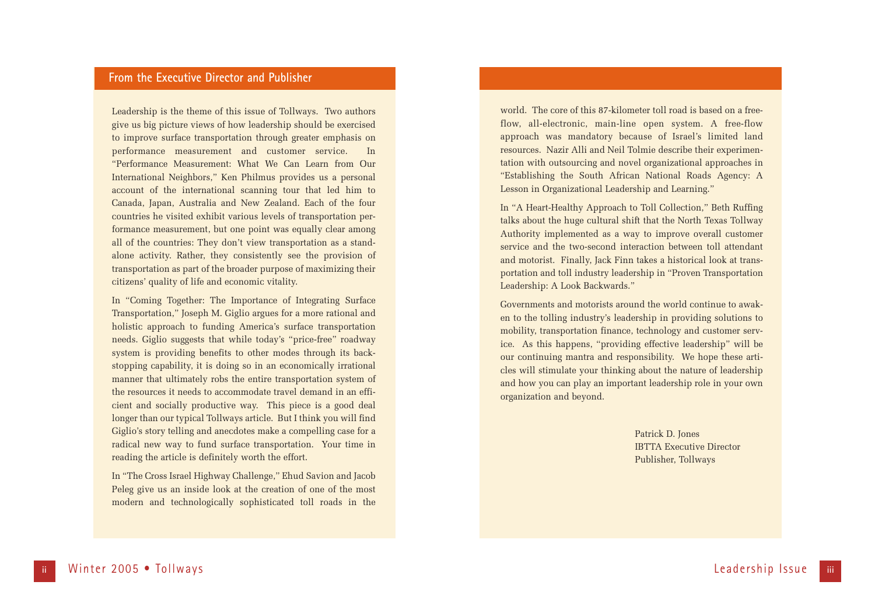# **From the Executive Director and Publisher**

Leadership is the theme of this issue of Tollways. Two authors give us big picture views of how leadership should be exercised to improve surface transportation through greater emphasis on performance measurement and customer service. In "Performance Measurement: What We Can Learn from Our International Neighbors," Ken Philmus provides us a personal account of the international scanning tour that led him to Canada, Japan, Australia and New Zealand. Each of the four countries he visited exhibit various levels of transportation performance measurement, but one point was equally clear among all of the countries: They don't view transportation as a standalone activity. Rather, they consistently see the provision of transportation as part of the broader purpose of maximizing their citizens' quality of life and economic vitality.

In "Coming Together: The Importance of Integrating Surface Transportation," Joseph M. Giglio argues for a more rational and holistic approach to funding America's surface transportation needs. Giglio suggests that while today's "price-free" roadway system is providing benefits to other modes through its backstopping capability, it is doing so in an economically irrational manner that ultimately robs the entire transportation system of the resources it needs to accommodate travel demand in an efficient and socially productive way. This piece is a good deal longer than our typical Tollways article. But I think you will find Giglio's story telling and anecdotes make a compelling case for a radical new way to fund surface transportation. Your time in reading the article is definitely worth the effort.

In "The Cross Israel Highway Challenge," Ehud Savion and Jacob Peleg give us an inside look at the creation of one of the most modern and technologically sophisticated toll roads in the

world. The core of this 87-kilometer toll road is based on a freeflow, all-electronic, main-line open system. A free-flow approach was mandatory because of Israel's limited land resources. Nazir Alli and Neil Tolmie describe their experimentation with outsourcing and novel organizational approaches in "Establishing the South African National Roads Agency: A Lesson in Organizational Leadership and Learning."

In "A Heart-Healthy Approach to Toll Collection," Beth Ruffing talks about the huge cultural shift that the North Texas Tollway Authority implemented as a way to improve overall customer service and the two-second interaction between toll attendant and motorist. Finally, Jack Finn takes a historical look at transportation and toll industry leadership in "Proven Transportation Leadership: A Look Backwards."

Governments and motorists around the world continue to awaken to the tolling industry's leadership in providing solutions to mobility, transportation finance, technology and customer service. As this happens, "providing effective leadership" will be our continuing mantra and responsibility. We hope these articles will stimulate your thinking about the nature of leadership and how you can play an important leadership role in your own organization and beyond.

> Patrick D. Jones IBTTA Executive Director Publisher, Tollways